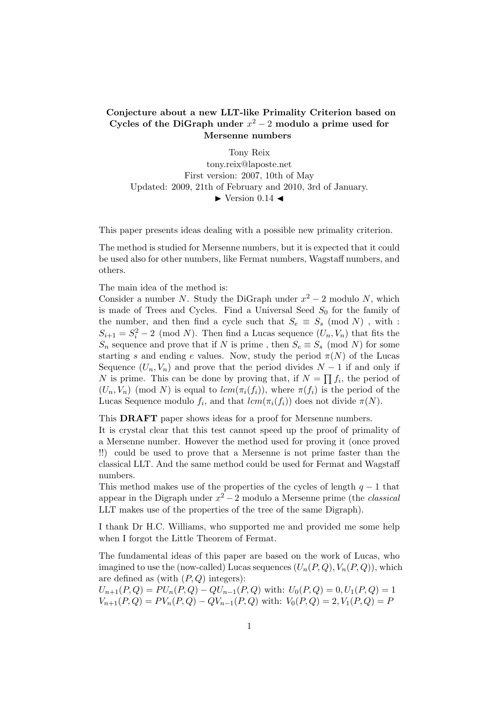## Conjecture about a new LLT-like Primality Criterion based on Cycles of the DiGraph under  $x^2 - 2$  modulo a prime used for Mersenne numbers

Tony Reix tony.reix@laposte.net First version: 2007, 10th of May Updated: 2009, 21th of February and 2010, 3rd of January.  $\blacktriangleright$  Version 0.14  $\blacktriangleleft$ 

This paper presents ideas dealing with a possible new primality criterion.

The method is studied for Mersenne numbers, but it is expected that it could be used also for other numbers, like Fermat numbers, Wagstaff numbers, and others.

The main idea of the method is:

Consider a number N. Study the DiGraph under  $x^2 - 2$  modulo N, which is made of Trees and Cycles. Find a Universal Seed  $S_0$  for the family of the number, and then find a cycle such that  $S_e \equiv S_s \pmod{N}$ , with :  $S_{i+1} = S_i^2 - 2 \pmod{N}$ . Then find a Lucas sequence  $(U_n, V_n)$  that fits the  $S_n$  sequence and prove that if N is prime, then  $S_e \equiv S_s \pmod{N}$  for some starting s and ending e values. Now, study the period  $\pi(N)$  of the Lucas Sequence  $(U_n, V_n)$  and prove that the period divides  $N-1$  if and only if N is prime. This can be done by proving that, if  $N = \prod f_i$ , the period of  $(U_n, V_n)$  (mod N) is equal to  $lcm(\pi_i(f_i))$ , where  $\pi(f_i)$  is the period of the Lucas Sequence modulo  $f_i$ , and that  $lcm(\pi_i(f_i))$  does not divide  $\pi(N)$ .

This DRAFT paper shows ideas for a proof for Mersenne numbers.

It is crystal clear that this test cannot speed up the proof of primality of a Mersenne number. However the method used for proving it (once proved !!) could be used to prove that a Mersenne is not prime faster than the classical LLT. And the same method could be used for Fermat and Wagstaff numbers.

This method makes use of the properties of the cycles of length  $q - 1$  that appear in the Digraph under  $x^2 - 2$  modulo a Mersenne prime (the *classical* LLT makes use of the properties of the tree of the same Digraph).

I thank Dr H.C. Williams, who supported me and provided me some help when I forgot the Little Theorem of Fermat.

The fundamental ideas of this paper are based on the work of Lucas, who imagined to use the (now-called) Lucas sequences  $(U_n(P,Q), V_n(P,Q))$ , which are defined as (with  $(P,Q)$  integers):

 $U_{n+1}(P,Q) = PU_n(P,Q) - QU_{n-1}(P,Q)$  with:  $U_0(P,Q) = 0, U_1(P,Q) = 1$  $V_{n+1}(P,Q) = PV_n(P,Q) - QV_{n-1}(P,Q)$  with:  $V_0(P,Q) = 2, V_1(P,Q) = P$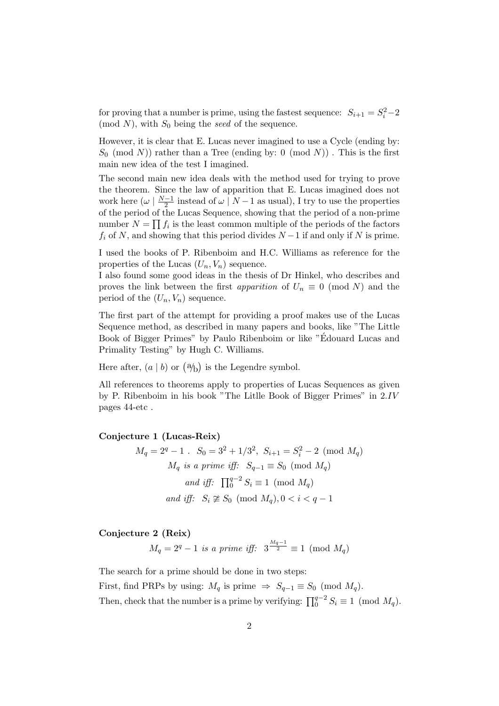for proving that a number is prime, using the fastest sequence:  $S_{i+1} = S_i^2 - 2$ (mod  $N$ ), with  $S_0$  being the seed of the sequence.

However, it is clear that E. Lucas never imagined to use a Cycle (ending by:  $S_0 \pmod{N}$  rather than a Tree (ending by: 0 (mod N)). This is the first main new idea of the test I imagined.

The second main new idea deals with the method used for trying to prove the theorem. Since the law of apparition that E. Lucas imagined does not work here  $(\omega \mid \frac{N-1}{2})$  $\frac{-1}{2}$  instead of  $\omega \mid N-1$  as usual), I try to use the properties of the period of the Lucas Sequence, showing that the period of a non-prime Q number  $N = \prod f_i$  is the least common multiple of the periods of the factors  $f_i$  of N, and showing that this period divides  $N-1$  if and only if N is prime.

I used the books of P. Ribenboim and H.C. Williams as reference for the properties of the Lucas  $(U_n, V_n)$  sequence.

I also found some good ideas in the thesis of Dr Hinkel, who describes and proves the link between the first *apparition* of  $U_n \equiv 0 \pmod{N}$  and the period of the  $(U_n, V_n)$  sequence.

The first part of the attempt for providing a proof makes use of the Lucas Sequence method, as described in many papers and books, like "The Little Book of Bigger Primes" by Paulo Ribenboim or like "Edouard Lucas and ´ Primality Testing" by Hugh C. Williams.

Here after,  $(a | b)$  or  $(\frac{a}{b})$ is the Legendre symbol.

All references to theorems apply to properties of Lucas Sequences as given by P. Ribenboim in his book "The Litlle Book of Bigger Primes" in 2.IV pages 44-etc .

### Conjecture 1 (Lucas-Reix)

$$
M_q = 2^q - 1.
$$
  $S_0 = 3^2 + 1/3^2$ ,  $S_{i+1} = S_i^2 - 2 \pmod{M_q}$   
\n $M_q$  is a prime iff:  $S_{q-1} \equiv S_0 \pmod{M_q}$   
\nand iff:  $\prod_0^{q-2} S_i \equiv 1 \pmod{M_q}$   
\nand iff:  $S_i \not\cong S_0 \pmod{M_q}$ ,  $0 < i < q - 1$ 

## Conjecture 2 (Reix)

 $M_q = 2^q - 1$  is a prime iff:  $3^{\frac{M_q - 1}{2}} \equiv 1 \pmod{M_q}$ 

The search for a prime should be done in two steps:

First, find PRPs by using:  $M_q$  is prime  $\Rightarrow S_{q-1} \equiv S_0 \pmod{M_q}$ . Then, check that the number is a prime by verifying:  $\prod_{0}^{q-2} S_i \equiv 1 \pmod{M_q}$ .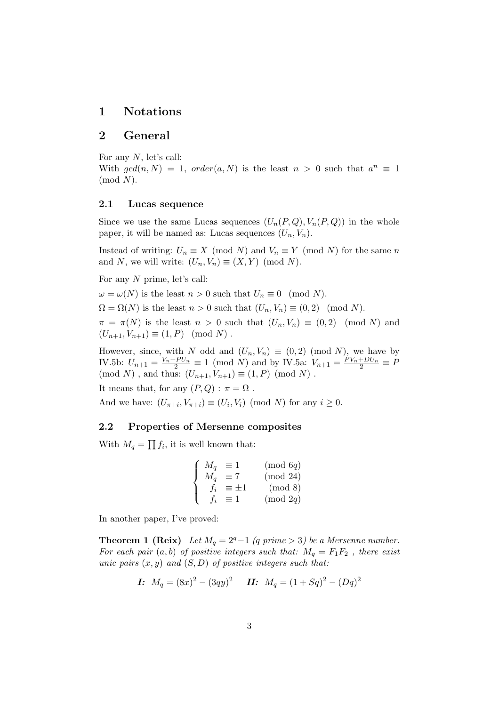## 1 Notations

## 2 General

For any N, let's call:

With  $gcd(n, N) = 1$ ,  $order(a, N)$  is the least  $n > 0$  such that  $a^n \equiv 1$  $(mod N).$ 

### 2.1 Lucas sequence

Since we use the same Lucas sequences  $(U_n(P,Q), V_n(P,Q))$  in the whole paper, it will be named as: Lucas sequences  $(U_n, V_n)$ .

Instead of writing:  $U_n \equiv X \pmod{N}$  and  $V_n \equiv Y \pmod{N}$  for the same n and N, we will write:  $(U_n, V_n) \equiv (X, Y) \pmod{N}$ .

For any N prime, let's call:

 $\omega = \omega(N)$  is the least  $n > 0$  such that  $U_n \equiv 0 \pmod{N}$ .

 $\Omega = \Omega(N)$  is the least  $n > 0$  such that  $(U_n, V_n) \equiv (0, 2) \pmod{N}$ .

 $\pi = \pi(N)$  is the least  $n > 0$  such that  $(U_n, V_n) \equiv (0, 2) \pmod{N}$  and  $(U_{n+1}, V_{n+1}) \equiv (1, P) \pmod{N}$ .

However, since, with N odd and  $(U_n, V_n) \equiv (0, 2) \pmod{N}$ , we have by IV.5b:  $U_{n+1} = \frac{V_n + PU_n}{2} \equiv 1 \pmod{N}$  and by IV.5a:  $V_{n+1} = \frac{PV_n + DU_n}{2} \equiv P$ (mod N), and thus:  $(U_{n+1}, V_{n+1}) \equiv (1, P) \pmod{N}$ . It means that, for any  $(P,Q) : \pi = \Omega$ .

And we have:  $(U_{\pi+i}, V_{\pi+i}) \equiv (U_i, V_i) \pmod{N}$  for any  $i \ge 0$ .

## 2.2 Properties of Mersenne composites

With  $M_q =$  $\overline{a}$  $f_i$ , it is well known that:

$$
\begin{cases}\nM_q \equiv 1 \qquad \pmod{6q} \\
M_q \equiv 7 \qquad \pmod{24} \\
f_i \equiv \pm 1 \qquad \pmod{8} \\
f_i \equiv 1 \qquad \pmod{2q}\n\end{cases}
$$

In another paper, I've proved:

**Theorem 1 (Reix)** Let  $M_q = 2^q - 1$  (q prime > 3) be a Mersenne number. For each pair  $(a, b)$  of positive integers such that:  $M_q = F_1F_2$ , there exist unic pairs  $(x, y)$  and  $(S, D)$  of positive integers such that:

*I*: 
$$
M_q = (8x)^2 - (3qy)^2
$$
 *II*:  $M_q = (1 + Sq)^2 - (Dq)^2$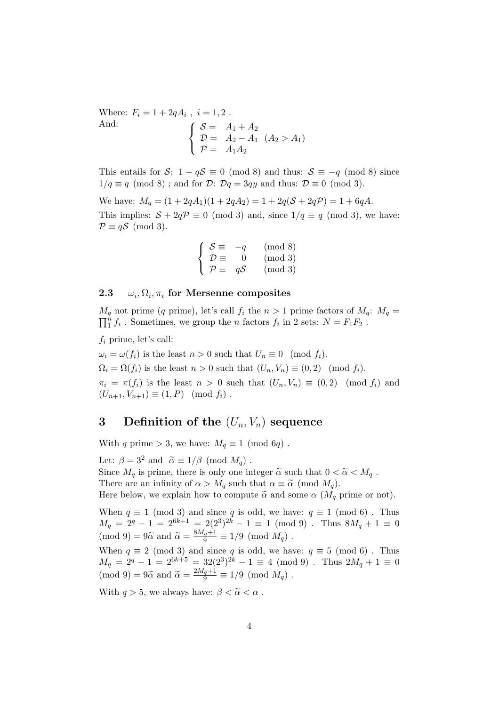Where:  $F_i = 1 + 2qA_i$ ,  $i = 1, 2$ . And:  $\overline{A}$   $\overline{A}$   $\overline{C}$   $\overline{C}$  $\sqrt{ }$  $\mathcal{L}$  $S = A_1 + A_2$  $\mathcal{D} = A_2 - A_1 \ (A_2 > A_1)$  $\mathcal{P} = A_1 A_2$ 

This entails for S:  $1 + qS \equiv 0 \pmod{8}$  and thus:  $S \equiv -q \pmod{8}$  since  $1/q \equiv q \pmod{8}$ ; and for  $\mathcal{D}$ :  $\mathcal{D}q = 3qy$  and thus:  $\mathcal{D} \equiv 0 \pmod{3}$ .

We have:  $M_q = (1 + 2qA_1)(1 + 2qA_2) = 1 + 2q(S + 2qP) = 1 + 6qA$ . This implies:  $S + 2qP \equiv 0 \pmod{3}$  and, since  $1/q \equiv q \pmod{3}$ , we have:  $\mathcal{P} \equiv q\mathcal{S} \pmod{3}$ .

$$
\begin{cases}\nS \equiv -q \pmod{8} \\
\mathcal{D} \equiv 0 \pmod{3} \\
\mathcal{P} \equiv q\mathcal{S} \pmod{3}\n\end{cases}
$$

#### $2.3\,$ ,  $\Omega_i$ ,  $\pi_i$  for Mersenne composites

 $M_q$  not prime (q prime), let's call  $f_i$  the  $n > 1$  prime factors of  $M_q$ :  $M_q =$  $\frac{n}{1}f_i$ . Sometimes, we group the *n* factors  $f_i$  in 2 sets:  $N = F_1F_2$ .

 $f_i$  prime, let's call:

 $\omega_i = \omega(f_i)$  is the least  $n > 0$  such that  $U_n \equiv 0 \pmod{f_i}$ .  $\Omega_i = \Omega(f_i)$  is the least  $n > 0$  such that  $(U_n, V_n) \equiv (0, 2) \pmod{f_i}$ .

 $\pi_i = \pi(f_i)$  is the least  $n > 0$  such that  $(U_n, V_n) \equiv (0, 2) \pmod{f_i}$  and  $(U_{n+1}, V_{n+1}) \equiv (1, P) \pmod{f_i}.$ 

# 3 Definition of the  $(U_n, V_n)$  sequence

With q prime > 3, we have:  $M_q \equiv 1 \pmod{6q}$ .

Let:  $\beta = 3^2$  and  $\tilde{\alpha} \equiv 1/\beta \pmod{M_q}$ . Since  $M_q$  is prime, there is only one integer  $\tilde{\alpha}$  such that  $0 < \tilde{\alpha} < M_q$ . There are an infinity of  $\alpha > M_q$  such that  $\alpha \equiv \tilde{\alpha} \pmod{M_q}$ . Here below, we explain how to compute  $\tilde{\alpha}$  and some  $\alpha$  ( $M_q$  prime or not).

When  $q \equiv 1 \pmod{3}$  and since q is odd, we have:  $q \equiv 1 \pmod{6}$ . Thus  $M_q = 2^q - 1 = 2^{6k+1} = 2(2^3)^{2k} - 1 \equiv 1 \pmod{9}$ . Thus  $8M_q + 1 \equiv 0$  $\pmod{9} = 9\tilde{\alpha}$  and  $\tilde{\alpha} = \frac{8M_q+1}{9} \equiv 1/9 \pmod{M_q}$ .

When  $q \equiv 2 \pmod{3}$  and since q is odd, we have:  $q \equiv 5 \pmod{6}$ . Thus  $M_q = 2^q - 1 = 2^{6k+5} = 32(2^3)^{2k} - 1 \equiv 4 \pmod{9}$ . Thus  $2M_q + 1 \equiv 0$  $\pmod{9} = 9\tilde{\alpha}$  and  $\tilde{\alpha} = \frac{2M_q+1}{9} \equiv 1/9 \pmod{M_q}$ .

With  $q > 5$ , we always have:  $\beta < \tilde{\alpha} < \alpha$ .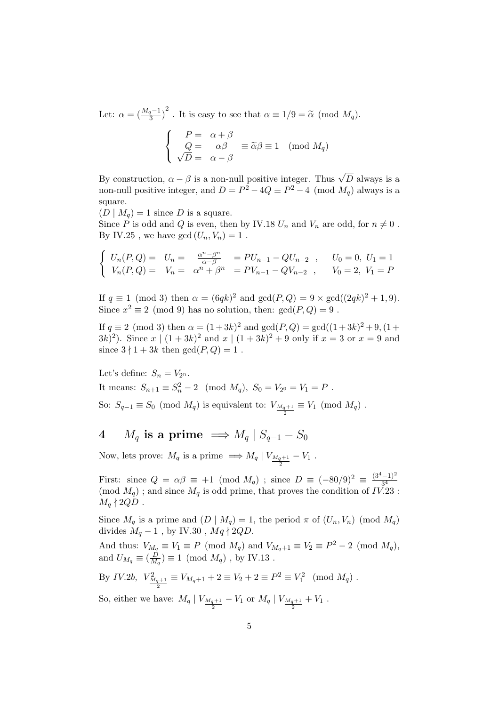Let:  $\alpha = \left(\frac{M_q-1}{3}\right)^2$ . It is easy to see that  $\alpha \equiv 1/9 = \tilde{\alpha} \pmod{M_q}$ .  $\overline{a}$ 

$$
\begin{cases}\nP = \alpha + \beta \\
Q = \alpha\beta \\
\sqrt{D} = \alpha - \beta\n\end{cases} \equiv \widetilde{\alpha}\beta \equiv 1 \pmod{M_q}
$$

By construction,  $\alpha - \beta$  is a non-null positive integer. Thus  $\sqrt{D}$  always is a non-null positive integer, and  $D = P^2 - 4Q \equiv P^2 - 4 \pmod{M_q}$  always is a square.

 $(D \mid M_q) = 1$  since D is a square.

Since P is odd and Q is even, then by IV.18  $U_n$  and  $V_n$  are odd, for  $n \neq 0$ . By IV.25, we have  $gcd(U_n, V_n) = 1$ .

$$
\begin{cases}\nU_n(P,Q) = U_n = \frac{\alpha^n - \beta^n}{\alpha - \beta} = PU_{n-1} - QU_{n-2} , & U_0 = 0, U_1 = 1 \\
V_n(P,Q) = V_n = \alpha^n + \beta^n = PV_{n-1} - QV_{n-2} , & V_0 = 2, V_1 = P\n\end{cases}
$$

If  $q \equiv 1 \pmod{3}$  then  $\alpha = (6qk)^2$  and  $gcd(P,Q) = 9 \times gcd((2qk)^2 + 1, 9)$ . Since  $x^2 \equiv 2 \pmod{9}$  has no solution, then:  $gcd(P,Q) = 9$ .

If  $q \equiv 2 \pmod{3}$  then  $\alpha = (1+3k)^2$  and  $gcd(P,Q) = gcd((1+3k)^2+9, (1+$  $(3k)^2$ ). Since  $x \mid (1+3k)^2$  and  $x \mid (1+3k)^2 + 9$  only if  $x = 3$  or  $x = 9$  and since  $3 \nmid 1 + 3k$  then  $gcd(P, Q) = 1$ .

Let's define:  $S_n = V_{2^n}$ . It means:  $S_{n+1} \equiv S_n^2 - 2 \pmod{M_q}$ ,  $S_0 = V_{2^0} = V_1 = P$ . So:  $S_{q-1} \equiv S_0 \pmod{M_q}$  is equivalent to:  $V_{\frac{M_q+1}{2}} \equiv V_1 \pmod{M_q}$ .

4  $M_q$  is a prime  $\implies M_q \mid S_{q-1} - S_0$ 

Now, lets prove:  $M_q$  is a prime  $\implies M_q \mid V_{\frac{M_q+1}{2}} - V_1$ .

First: since  $Q = \alpha \beta \equiv +1 \pmod{M_q}$ ; since  $D \equiv (-80/9)^2 \equiv \frac{(3^4-1)^2}{3^4}$ First. since  $Q = \alpha p \equiv +1 \pmod{M_q}$ , since  $D = (-\infty)^g$  =  $\frac{3^4}{3^4}$ <br>(mod  $M_q$ ); and since  $M_q$  is odd prime, that proves the condition of  $IV.23$ :  $M_a \nmid 2QD$ .

Since  $M_q$  is a prime and  $(D \mid M_q) = 1$ , the period  $\pi$  of  $(U_n, V_n)$  (mod  $M_q$ ) divides  $M_q - 1$ , by IV.30,  $M_q \nmid 2QD$ .

And thus:  $V_{M_q} \equiv V_1 \equiv P \pmod{M_q}$  and  $V_{M_q+1} \equiv V_2 \equiv P^2 - 2 \pmod{M_q}$ , and  $U_{M_q} \equiv \left(\frac{\dot{D}}{M}\right)$  $\frac{D}{M_q}$ )  $\equiv$  1 (mod  $M_q$ ), by IV.13.

By IV.2b, 
$$
V_{\frac{M_q+1}{2}}^2 \equiv V_{M_q+1} + 2 \equiv V_2 + 2 \equiv P^2 \equiv V_1^2 \pmod{M_q}
$$
.

So, either we have:  $M_q | V_{\frac{M_q+1}{2}} - V_1$  or  $M_q | V_{\frac{M_q+1}{2}} + V_1$ .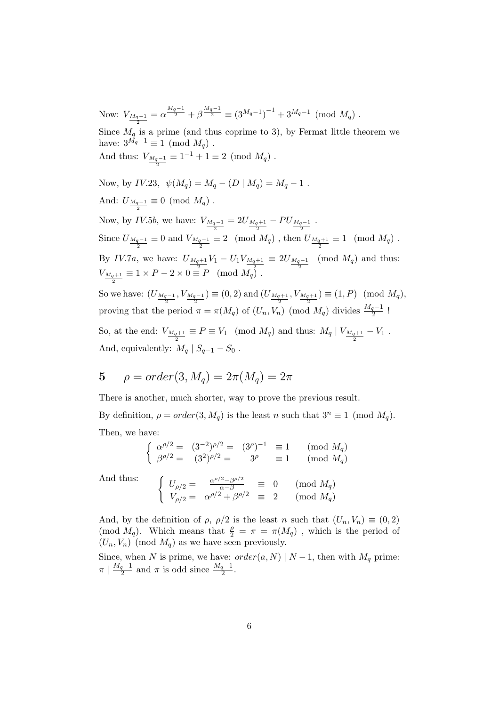Now:  $V_{\frac{M_q-1}{2}} = \alpha^{\frac{M_q-1}{2}} + \beta^{\frac{M_q-1}{2}} \equiv (3^{M_q-1})^{-1} + 3^{M_q-1} \pmod{M_q}$ . Since  $M_q$  is a prime (and thus coprime to 3), by Fermat little theorem we have:  $3^{\overrightarrow{M}_q-1} \equiv 1 \pmod{M_q}$ . And thus:  $V_{\frac{M_q-1}{2}} \equiv 1^{-1} + 1 \equiv 2 \pmod{M_q}$ . Now, by IV.23,  $\psi(M_q) = M_q - (D \mid M_q) = M_q - 1$ . And:  $U_{\frac{M_q-1}{2}} \equiv 0 \pmod{M_q}$ . Now, by *IV.5b*, we have:  $V_{\frac{M_q-1}{2}} = 2U_{\frac{M_q+1}{2}} - PU_{\frac{M_q-1}{2}}$ . Since  $U_{\frac{M_q-1}{2}} \equiv 0$  and  $V_{\frac{M_q-1}{2}} \equiv 2 \pmod{M_q}$ , then  $U_{\frac{M_q+1}{2}} \equiv 1 \pmod{M_q}$ . By *IV.7a*, we have:  $U_{\frac{M_q+1}{2}}V_1 - U_1V_{\frac{M_q+1}{2}} \equiv 2U_{\frac{M_q-1}{2}} \pmod{M_q}$  and thus:  $V_{\frac{M_q+1}{2}} \equiv 1 \times P - 2 \times 0 \equiv P \pmod{M_q}$ . So we have:  $(U_{\frac{M_q-1}{2}}, V_{\frac{M_q-1}{2}}) \equiv (0, 2)$  and  $(U_{\frac{M_q+1}{2}}, V_{\frac{M_q+1}{2}}) \equiv (1, P) \pmod{M_q}$ , proving that the period  $\pi = \pi(M_q)$  of  $(U_n, V_n)$  (mod  $M_q$ ) divides  $\frac{M_q-1}{2}$ ! So, at the end:  $V_{\frac{M_q+1}{2}} \equiv P \equiv V_1 \pmod{M_q}$  and thus:  $M_q \mid V_{\frac{M_q+1}{2}} - V_1$ .

And, equivalently:  $M_q | S_{q-1} - S_0$ .

5 
$$
\rho = order(3, M_q) = 2\pi(M_q) = 2\pi
$$

There is another, much shorter, way to prove the previous result. By definition,  $\rho = order(3, M_q)$  is the least n such that  $3^n \equiv 1 \pmod{M_q}$ . Then, we have: ½

$$
\begin{cases}\n\alpha^{\rho/2} = (3^{-2})^{\rho/2} = (3^{\rho})^{-1} \equiv 1 \text{ (mod } M_q) \\
\beta^{\rho/2} = (3^2)^{\rho/2} = 3^{\rho} \equiv 1 \text{ (mod } M_q)\n\end{cases}
$$

And thus: (

$$
\begin{cases}\nU_{\rho/2} = \frac{\alpha^{\rho/2} - \beta^{\rho/2}}{\alpha - \beta} \equiv 0 \quad (\text{mod } M_q) \\
V_{\rho/2} = \alpha^{\rho/2} + \beta^{\rho/2} \equiv 2 \quad (\text{mod } M_q)\n\end{cases}
$$

And, by the definition of  $\rho$ ,  $\rho/2$  is the least n such that  $(U_n, V_n) \equiv (0, 2)$ (mod  $M_q$ ). Which means that  $\frac{\rho}{2} = \pi = \pi(M_q)$ , which is the period of  $(U_n, V_n)$  (mod  $M_q$ ) as we have seen previously.

Since, when N is prime, we have:  $order(a, N) | N - 1$ , then with  $M_q$  prime:  $\pi \mid \frac{M_q-1}{2}$  $\frac{q-1}{2}$  and  $\pi$  is odd since  $\frac{M_q-1}{2}$ .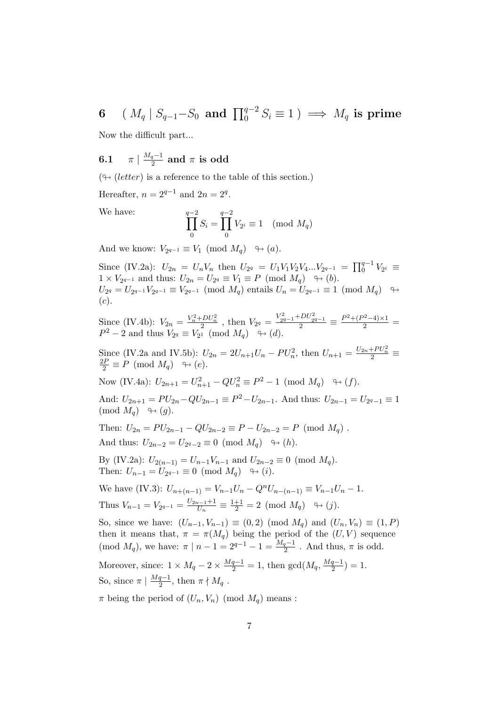6 (  $M_q$  |  $S_{q-1}-S_0$  and  $\prod_0^{q-2} S_i \equiv 1$  )  $\implies M_q$  is prime

Now the difficult part...

 $6.1$  $M_q-1$  $\frac{q^{-1}}{2}$  and  $\pi$  is odd

 $(\forall (letter)$  is a reference to the table of this section.)

Hereafter,  $n = 2^{q-1}$  and  $2n = 2^q$ .

We have:

$$
\prod_0^{q-2} S_i = \prod_0^{q-2} V_{2^i} \equiv 1 \pmod{M_q}
$$

And we know:  $V_{2^{q-1}} \equiv V_1 \pmod{M_q} \rightarrow (a)$ .

Since (IV.2a):  $U_{2n} = U_n V_n$  then  $U_{2q} = U_1 V_1 V_2 V_4 ... V_{2q-1} = \prod_{0}^{q-1}$  $_0^{q-1}V_{2^i}\,\equiv\,$  $1 \times V_{2^{q-1}}$  and thus:  $U_{2n} = U_{2^q} \equiv V_1 \equiv P \pmod{M_q} \quad \rightarrow (b)$ .  $U_{2^q} = U_{2^{q-1}} V_{2^{q-1}} \equiv V_{2^{q-1}} \pmod{M_q}$  entails  $U_n = U_{2^{q-1}} \equiv 1 \pmod{M_q}$  →  $(c).$ 

Since (IV.4b):  $V_{2n} = \frac{V_n^2 + DU_n^2}{2}$ , then  $V_{2q} = \frac{V_{2q-1}^2 + DU_{2q-1}^2}{2} \equiv \frac{P^2 + (P^2 - 4) \times 1}{2}$  $P^2 - 2$  and thus  $V_{2^q} \equiv V_{2^1} \pmod{M_q} \rightarrow (d)$ .

Since (IV.2a and IV.5b):  $U_{2n} = 2U_{n+1}U_n - PU_n^2$ , then  $U_{n+1} = \frac{U_{2n} + PU_n^2}{2}$  $\frac{2P}{2} \equiv P \pmod{M_q} \quad \rightarrow (e).$ 

Now (IV.4a):  $U_{2n+1} = U_{n+1}^2 - QU_n^2 \equiv P^2 - 1 \pmod{M_q} \quad \rightarrow (f)$ .

And:  $U_{2n+1} = PU_{2n} - QU_{2n-1} \equiv P^2 - U_{2n-1}$ . And thus:  $U_{2n-1} = U_{2q-1} \equiv 1$  $\pmod{M_q} \quad \Leftrightarrow (q)$ .

Then:  $U_{2n} = PU_{2n-1} - QU_{2n-2} \equiv P - U_{2n-2} = P \pmod{M_q}$ . And thus:  $U_{2n-2} = U_{2^q-2} \equiv 0 \pmod{M_q}$   $\rightarrow (h)$ .

By (IV.2a):  $U_{2(n-1)} = U_{n-1}V_{n-1}$  and  $U_{2n-2} \equiv 0 \pmod{M_q}$ . Then:  $U_{n-1} = U_{2^{q-1}} \equiv 0 \pmod{M_q} \rightarrow (i)$ .

We have (IV.3):  $U_{n+(n-1)} = V_{n-1}U_n - Q^n U_{n-(n-1)} \equiv V_{n-1}U_n - 1$ . Thus  $V_{n-1} = V_{2^{q-1}} = \frac{U_{2n-1}+1}{U_n}$  $\frac{1}{U_n} \equiv \frac{1+1}{2} = 2 \pmod{M_q} \quad \Leftrightarrow (j).$ 

So, since we have:  $(U_{n-1}, V_{n-1}) \equiv (0, 2) \pmod{M_q}$  and  $(U_n, V_n) \equiv (1, P)$ then it means that,  $\pi = \pi(M_q)$  being the period of the  $(U, V)$  sequence (mod  $M_q$ ), we have:  $\pi | n - 1 = 2^{q-1} - 1 = \frac{M_q - 1}{2}$ . And thus,  $\pi$  is odd.

Moreover, since:  $1 \times M_q - 2 \times \frac{Mq-1}{2} = 1$ , then  $\gcd(M_q, \frac{Mq-1}{2})$  $\frac{q-1}{2}$ ) = 1. So, since  $\pi \mid \frac{Mq-1}{2}$  $\frac{q-1}{2}$ , then  $\pi \nmid M_q$ .

 $\pi$  being the period of  $(U_n, V_n)$  (mod  $M_q$ ) means :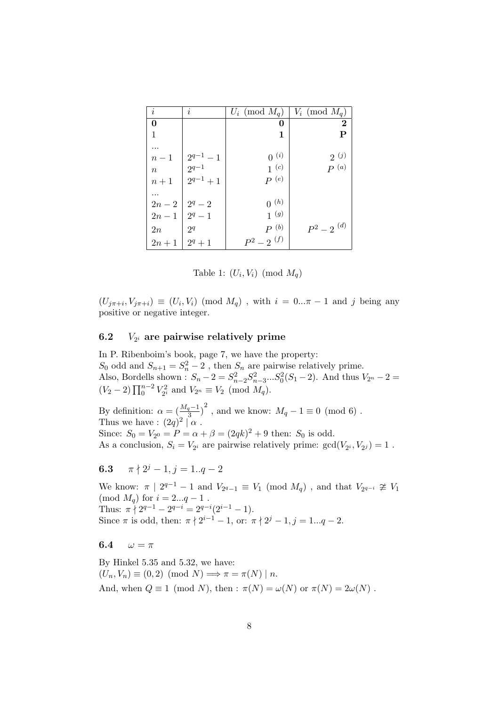| $\dot{i}$ | $\dot{i}$                   | $U_i \pmod{M_q}$ | $V_i \pmod{M_q}$       |
|-----------|-----------------------------|------------------|------------------------|
| 0         |                             | O                | $\boldsymbol{2}$       |
| 1         |                             | 1                | $\mathbf P$            |
| .         |                             |                  |                        |
| $n-1$     |                             | $0^{(i)}$        | 2(j)                   |
| $\, n$    | $\frac{2^{q-1}-1}{2^{q-1}}$ | $1^{\circ}$      | $P^{(a)}$              |
| $n+1$     | $2^{q-1}+1$                 | $P^{(e)}$        |                        |
|           |                             |                  |                        |
| $2n-2$    | $2^q-2$                     | $0^{(h)}$        |                        |
| $2n-1$    | $2^q-1$                     | $1^{\,(g)}$      |                        |
| 2n        | 2 <sup>q</sup>              | $P^{(b)}$        | $P^2-2$ <sup>(d)</sup> |
| $2n+1$    | $2^q + 1$                   | $P^2-2^{(f)}$    |                        |

Table 1:  $(U_i, V_i) \pmod{M_q}$ 

 $(U_{j\pi+i}, V_{j\pi+i}) \equiv (U_i, V_i) \pmod{M_q}$ , with  $i = 0...\pi - 1$  and j being any positive or negative integer.

#### $6.2$  $V_{2<sup>i</sup>}$  are pairwise relatively prime

In P. Ribenboim's book, page 7, we have the property:  $S_0$  odd and  $S_{n+1} = S_n^2 - 2$ , then  $S_n$  are pairwise relatively prime. Also, Bordells shown :  $S_n - 2 = S_{n-2}^2 S_{n-3}^2 ... S_0^2 (S_1 - 2)$ . And thus  $V_{2^n} - 2 =$ ( $V_2 - 2$ )  $\prod_0^{n-2} V_{2^i}^2$  and  $V_{2^n} \equiv V_2 \pmod{M_q}$ .

By definition:  $\alpha = \left(\frac{M_q-1}{3}\right)^2$ , and we know:  $M_q - 1 \equiv 0 \pmod{6}$ . Thus we have :  $(2q)^2 | \alpha$ . Since:  $S_0 = V_{2^0} = P = \alpha + \beta = (2qk)^2 + 9$  then:  $S_0$  is odd. As a conclusion,  $S_i = V_{2^i}$  are pairwise relatively prime:  $gcd(V_{2^i}, V_{2^j}) = 1$ .

## 6.3  $\pi \nmid 2^j - 1, j = 1..q - 2$

We know:  $\pi \mid 2^{q-1} - 1$  and  $V_{2^q-1} \equiv V_1 \pmod{M_q}$ , and that  $V_{2^{q-1}} \ncong V_1$ (mod  $M_q$ ) for  $i = 2...q - 1$ . Thus:  $\pi \nmid 2^{q-1} - 2^{q-i} = 2^{q-i}(2^{i-1} - 1)$ . Since  $\pi$  is odd, then:  $\pi \nmid 2^{i-1} - 1$ , or:  $\pi \nmid 2^j - 1$ ,  $j = 1...q - 2$ .

#### 6.4  $\omega = \pi$

By Hinkel 5.35 and 5.32, we have:  $(U_n, V_n) \equiv (0, 2) \pmod{N} \Longrightarrow \pi = \pi(N) \mid n.$ And, when  $Q \equiv 1 \pmod{N}$ , then :  $\pi(N) = \omega(N)$  or  $\pi(N) = 2\omega(N)$ .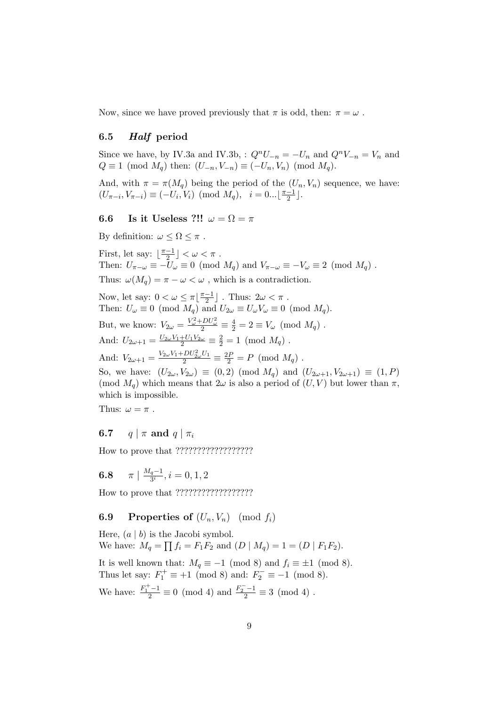Now, since we have proved previously that  $\pi$  is odd, then:  $\pi = \omega$ .

## 6.5 Half period

Since we have, by IV.3a and IV.3b, :  $Q^nU_{-n} = -U_n$  and  $Q^nV_{-n} = V_n$  and  $Q \equiv 1 \pmod{M_q}$  then:  $(U_{-n}, V_{-n}) \equiv (-U_n, V_n) \pmod{M_q}$ .

And, with  $\pi = \pi(M_q)$  being the period of the  $(U_n, V_n)$  sequence, we have:  $(U_{\pi-i}, V_{\pi-i}) \equiv (-U_i, V_i) \pmod{M_q}, \ \ i = 0... \lfloor \frac{\pi-1}{2} \rfloor$  $\frac{-1}{2}$ .

## 6.6 Is it Useless ?!!  $\omega = \Omega = \pi$

By definition:  $\omega \leq \Omega \leq \pi$  . First, let say:  $\frac{\pi-1}{2}$  $\frac{-1}{2}$   $\rfloor < \omega < \pi$  . Then:  $U_{\pi-\omega} \equiv -U_{\omega} = 0 \pmod{M_q}$  and  $V_{\pi-\omega} \equiv -V_{\omega} \equiv 2 \pmod{M_q}$ . Thus:  $\omega(M_a) = \pi - \omega < \omega$ , which is a contradiction. Now, let say:  $0 < \omega \leq \pi \frac{\pi - 1}{2}$  $\frac{-1}{2}$ ]. Thus:  $2\omega < \pi$ . Then:  $U_{\omega} \equiv 0 \pmod{M_q}$  and  $U_{2\omega} \equiv U_{\omega}V_{\omega} \equiv 0 \pmod{M_q}$ . But, we know:  $V_{2\omega} = \frac{V_{\omega}^2 + DU_{\omega}^2}{2} \equiv \frac{4}{2} = 2 \equiv V_{\omega} \pmod{M_q}$ . And:  $U_{2\omega+1} = \frac{U_{2\omega}V_1 + U_1V_{2\omega}}{2} \equiv \frac{2}{2} = 1 \pmod{M_q}$ . And:  $V_{2\omega+1} = \frac{V_{2\omega}V_1 + DU_{2\omega}^2U_1}{2} \equiv \frac{2P}{2} = P \pmod{M_q}$ . So, we have:  $(U_{2\omega}, V_{2\omega}) \equiv (0, 2) \pmod{M_q}$  and  $(U_{2\omega+1}, V_{2\omega+1}) \equiv (1, P)$ (mod  $M_q$ ) which means that  $2\omega$  is also a period of  $(U, V)$  but lower than  $\pi$ , which is impossible.

Thus:  $\omega = \pi$ .

## **6.7** q |  $\pi$  and q |  $\pi_i$

How to prove that ??????????????????

6.8  $\pi \mid \frac{M_q-1}{3^i}$  $\frac{q-1}{3^i}, i = 0, 1, 2$ 

How to prove that ??????????????????

## **6.9** Properties of  $(U_n, V_n)$  (mod  $f_i$ )

Here,  $(a | b)$  is the Jacobi symbol. We have:  $M_q =$ ⊥e<br>⊥  $f_i = F_1F_2$  and  $(D \mid M_q) = 1 = (D \mid F_1F_2)$ . It is well known that:  $M_q \equiv -1 \pmod{8}$  and  $f_i \equiv \pm 1 \pmod{8}$ . Thus let say:  $F_1^+ \equiv +1 \pmod{8}$  and:  $F_2^- \equiv -1 \pmod{8}$ .

We have:  $\frac{F_1^+ - 1}{2} \equiv 0 \pmod{4}$  and  $\frac{F_2^- - 1}{2} \equiv 3 \pmod{4}$ .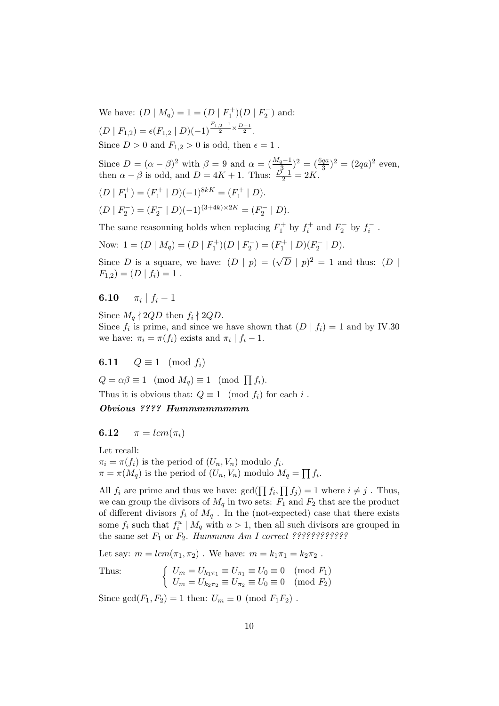We have:  $(D | M_q) = 1 = (D | F_1^+)(D | F_2^-)$  and:  $(D | F_{1,2}) = \epsilon(F_{1,2} | D)(-1)^{\frac{F_{1,2}-1}{2} \times \frac{D-1}{2}}.$ Since  $D > 0$  and  $F_{1,2} > 0$  is odd, then  $\epsilon = 1$ .

Since  $D = (\alpha - \beta)^2$  with  $\beta = 9$  and  $\alpha = (\frac{M_q - 1}{\beta})^2 = (\frac{6qa}{3})^2 = (2qa)^2$  even, then  $\alpha - \beta$  is odd, and  $D = 4K + 1$ . Thus:  $\frac{D-1}{2} = 2K$ .

$$
(D \mid F_1^+) = (F_1^+ \mid D)(-1)^{8k} = (F_1^+ \mid D).
$$

$$
(D \mid F_2^-) = (F_2^- \mid D)(-1)^{(3+4k)\times 2K} = (F_2^- \mid D).
$$

The same reasonning holds when replacing  $F_1^+$  by  $f_i^+$  and  $F_2^-$  by  $f_i^-$ .

Now: 
$$
1 = (D \mid M_q) = (D \mid F_1^+)(D \mid F_2^-) = (F_1^+ \mid D)(F_2^- \mid D).
$$

Since D is a square, we have:  $(D | p) = (\sqrt{D} | p)^2 = 1$  and thus:  $(D | p)$  $F_{1,2}$ ) =  $(D | f_i) = 1$ .

 $6.10$  $\pi_i \mid f_i - 1$ 

Since  $M_q \nmid 2QD$  then  $f_i \nmid 2QD$ . Since  $f_i$  is prime, and since we have shown that  $(D | f_i) = 1$  and by IV.30 we have:  $\pi_i = \pi(f_i)$  exists and  $\pi_i | f_i - 1$ .

6.11  $Q \equiv 1 \pmod{f_i}$ 

 $Q = \alpha \beta \equiv 1 \pmod{M_q} \equiv 1 \pmod{\prod f_i}.$ 

Thus it is obvious that:  $Q \equiv 1 \pmod{f_i}$  for each i.

## Obvious ???? Hummmmmmmm

## 6.12  $\pi = lcm(\pi_i)$

Let recall:

 $\pi_i = \pi(f_i)$  is the period of  $(U_n, V_n)$  modulo  $f_i$ .  $\pi = \pi(M_q)$  is the period of  $(U_n, V_n)$  modulo  $M_q =$  $\overline{a}$  $f_i$ .

All  $f_i$  are prime and thus we have:  $gcd(\prod f_i,$  $\overline{a}$  $f_j$  = 1 where  $i \neq j$ . Thus, we can group the divisors of  $M_q$  in two sets:  $F_1$  and  $F_2$  that are the product of different divisors  $f_i$  of  $M_q$ . In the (not-expected) case that there exists some  $f_i$  such that  $f_i^u \mid M_q$  with  $u > 1$ , then all such divisors are grouped in the same set F<sup>1</sup> or F2. Hummmm Am I correct ????????????

Let say:  $m = lcm(\pi_1, \pi_2)$ . We have:  $m = k_1 \pi_1 = k_2 \pi_2$ .

Thus:  
\n
$$
\begin{cases}\nU_m = U_{k_1 \pi_1} \equiv U_{\pi_1} \equiv U_0 \equiv 0 \pmod{F_1} \\
U_m = U_{k_2 \pi_2} \equiv U_{\pi_2} \equiv U_0 \equiv 0 \pmod{F_2}\n\end{cases}
$$

Since  $gcd(F_1, F_2) = 1$  then:  $U_m \equiv 0 \pmod{F_1F_2}$ .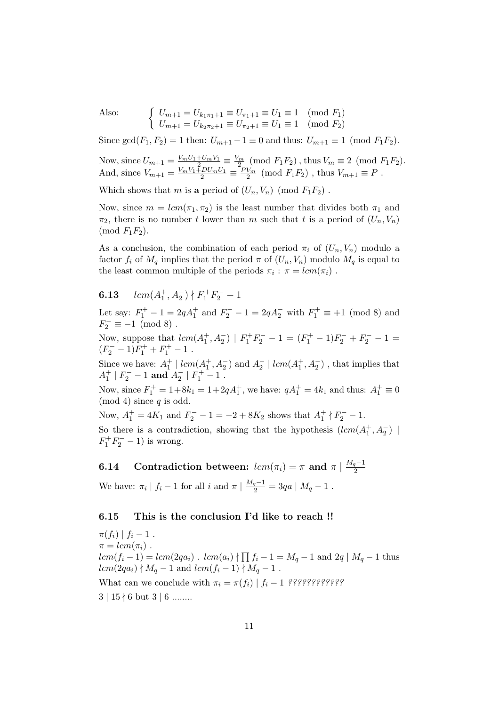Also: 
$$
\begin{cases} U_{m+1} = U_{k_1\pi_1+1} \equiv U_{\pi_1+1} \equiv U_1 \equiv 1 \pmod{F_1} \\ U_{m+1} = U_{k_2\pi_2+1} \equiv U_{\pi_2+1} \equiv U_1 \equiv 1 \pmod{F_2} \end{cases}
$$

Since  $gcd(F_1, F_2) = 1$  then:  $U_{m+1} - 1 \equiv 0$  and thus:  $U_{m+1} \equiv 1 \pmod{F_1F_2}$ .

Now, since  $U_{m+1} = \frac{V_m U_1 + U_m V_1}{2} \equiv \frac{V_m}{2} \pmod{F_1 F_2}$ , thus  $V_m \equiv 2 \pmod{F_1 F_2}$ . And, since  $V_{m+1} = \frac{V_m V_1 \overline{+}DU_m U_1}{2} \equiv \frac{PV_m}{2} \pmod{F_1 F_2}$ , thus  $V_{m+1} \equiv P$ .

Which shows that m is a period of  $(U_n, V_n)$  (mod  $F_1F_2$ ).

Now, since  $m = lcm(\pi_1, \pi_2)$  is the least number that divides both  $\pi_1$  and  $\pi_2$ , there is no number t lower than m such that t is a period of  $(U_n, V_n)$  $\pmod{F_1F_2}$ .

As a conclusion, the combination of each period  $\pi_i$  of  $(U_n, V_n)$  modulo a factor  $f_i$  of  $M_q$  implies that the period  $\pi$  of  $(U_n, V_n)$  modulo  $M_q$  is equal to the least common multiple of the periods  $\pi_i : \pi = lcm(\pi_i)$ .

# **6.13**  $lcm(A_1^+, A_2^-)$   $\nmid F_1^+F_2^- - 1$

Let say:  $F_1^+ - 1 = 2qA_1^+$  and  $F_2^- - 1 = 2qA_2^-$  with  $F_1^+ \equiv +1 \pmod{8}$  and  $F_2^- \equiv -1 \pmod{8}$ .

Now, suppose that  $lcm(A_1^+, A_2^-) | F_1^+F_2^- - 1 = (F_1^+ - 1)F_2^- + F_2^- - 1 =$  $(F_2^- - 1)F_1^+ + F_1^+ - 1$ .

Since we have:  $A_1^+ | lcm(A_1^+, A_2^-)$  and  $A_2^- | lcm(A_1^+, A_2^-)$ , that implies that  $A_1^+ | F_2^- - 1 \text{ and } A_2^- | F_1^+ - 1 \ .$ 

Now, since  $F_1^+ = 1 + 8k_1 = 1 + 2qA_1^+$ , we have:  $qA_1^+ = 4k_1$  and thus:  $A_1^+ \equiv 0$  $(mod 4) since q is odd.$ 

Now,  $A_1^+ = 4K_1$  and  $F_2^- - 1 = -2 + 8K_2$  shows that  $A_1^+ \nmid F_2^- - 1$ . So there is a contradiction, showing that the hypothesis  $(lcm(A_1^+, A_2^-)$  $F_1^+ F_2^- - 1$ ) is wrong.

**6.14** Contradiction between:  $lcm(\pi_i) = \pi$  and  $\pi \mid \frac{M_q-1}{2}$ 2 We have:  $\pi_i | f_i - 1$  for all  $i$  and  $\pi | \frac{M_q - 1}{2} = 3qa | M_q - 1$ .

# 6.15 This is the conclusion I'd like to reach !!

 $\pi(f_i) | f_i - 1$ .  $\pi = lcm(\pi_i)$ .  $lcm(f_i-1) = lcm(2qa_i)$ .  $lcm(a_i)$  $\overline{ }$  $f_i - 1 = M_q - 1$  and  $2q \mid M_q - 1$  thus  $lcm(2qa_i) \nmid M_q - 1$  and  $lcm(f_i - 1) \nmid M_q - 1$ . What can we conclude with π<sup>i</sup> = π(fi) | f<sup>i</sup> − 1 ????????????  $3 \mid 15 \nmid 6$  but  $3 \mid 6$  ........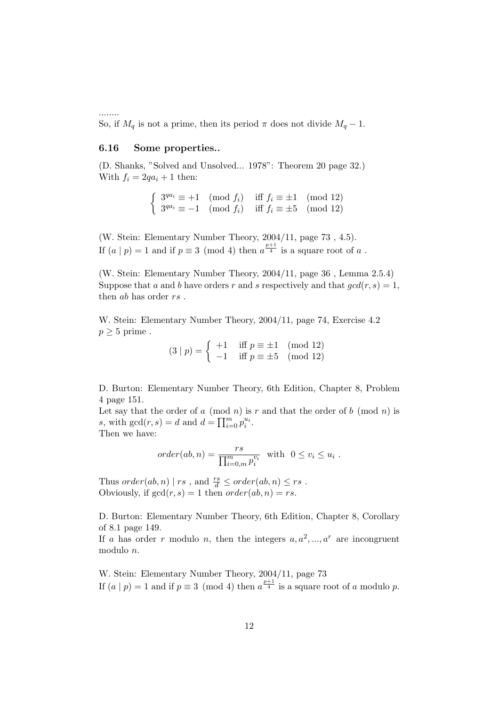So, if  $M_q$  is not a prime, then its period  $\pi$  does not divide  $M_q - 1$ .

## 6.16 Some properties..

........

(D. Shanks, "Solved and Unsolved... 1978": Theorem 20 page 32.) With  $f_i = 2qa_i + 1$  then:

$$
\begin{cases} 3^{qa_i} \equiv +1 \pmod{f_i} & \text{iff } f_i \equiv \pm 1 \pmod{12} \\ 3^{qa_i} \equiv -1 \pmod{f_i} & \text{iff } f_i \equiv \pm 5 \pmod{12} \end{cases}
$$

(W. Stein: Elementary Number Theory, 2004/11, page 73 , 4.5). If  $(a | p) = 1$  and if  $p \equiv 3 \pmod{4}$  then  $a^{\frac{p+1}{4}}$  is a square root of a.

(W. Stein: Elementary Number Theory, 2004/11, page 36 , Lemma 2.5.4) Suppose that a and b have orders r and s respectively and that  $gcd(r, s) = 1$ , then *ab* has order *rs*.

W. Stein: Elementary Number Theory, 2004/11, page 74, Exercise 4.2  $p \geq 5$  prime.

 $(3 | p) = \begin{cases} +1 & \text{iff } p \equiv \pm 1 \pmod{12} \\ 1 & \text{if } p = +5 \end{cases}$  $-1$  iff  $p \equiv \pm 5 \pmod{12}$ 

D. Burton: Elementary Number Theory, 6th Edition, Chapter 8, Problem 4 page 151.

Let say that the order of a (mod n) is r and that the order of b (mod n) is Let say that the order of a (mod<br>s, with  $gcd(r, s) = d$  and  $d = \prod_{i=1}^{m}$  $\sum\limits_{i=0}^{m}\overline{p}_{i}^{u_{i}}.$ 

Then we have:

$$
order(ab, n) = \frac{rs}{\prod_{i=0,m}^{m} p_i^{v_i}} \text{ with } 0 \le v_i \le u_i.
$$

Thus  $order(ab, n) | rs$ , and  $\frac{rs}{d} \leq order(ab, n) \leq rs$ . Obviously, if  $gcd(r, s) = 1$  then  $order(ab, n) = rs$ .

D. Burton: Elementary Number Theory, 6th Edition, Chapter 8, Corollary of 8.1 page 149.

If a has order r modulo n, then the integers  $a, a^2, ..., a^r$  are incongruent modulo n.

W. Stein: Elementary Number Theory, 2004/11, page 73 If  $(a | p) = 1$  and if  $p \equiv 3 \pmod{4}$  then  $a^{\frac{p+1}{4}}$  is a square root of a modulo p.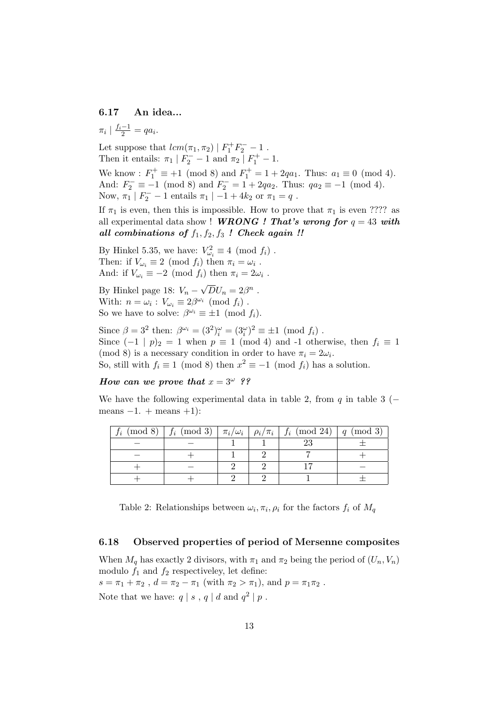## 6.17 An idea...

 $\pi_i \mid \frac{f_i - 1}{2} = qa_i.$ 

Let suppose that  $lcm(\pi_1, \pi_2) | F_1^+ F_2^- - 1$ . Then it entails:  $\pi_1 | F_2^- - 1$  and  $\pi_2 | F_1^+ - 1$ . We know :  $F_1^+ \equiv +1 \pmod{8}$  and  $F_1^+ = 1 + 2qa_1$ . Thus:  $a_1 \equiv 0 \pmod{4}$ . And:  $F_2^- \equiv -1 \pmod{8}$  and  $F_2^- = 1 + 2qa_2$ . Thus:  $qa_2 \equiv -1 \pmod{4}$ . Now,  $\pi_1$  |  $F_2^-$  - 1 entails  $\pi_1$  | -1 + 4 $k_2$  or  $\pi_1 = q$ .

If  $\pi_1$  is even, then this is impossible. How to prove that  $\pi_1$  is even ???? as all experimental data show ! WRONG ! That's wrong for  $q = 43$  with all combinations of  $f_1, f_2, f_3$  ! Check again !!

By Hinkel 5.35, we have:  $V_{\omega_i}^2 \equiv 4 \pmod{f_i}$ . Then: if  $V_{\omega_i} \equiv 2 \pmod{f_i}$  then  $\pi_i = \omega_i$ . And: if  $V_{\omega_i} \equiv -2 \pmod{f_i}$  then  $\pi_i = 2\omega_i$ .

By Hinkel page 18:  $V_n$  – √  $\overline{D}U_n=2\beta^n$ . With:  $n = \omega_i : V_{\omega_i} \equiv 2\beta^{\omega_i} \pmod{f_i}$ . So we have to solve:  $\beta^{\omega_i} \equiv \pm 1 \pmod{f_i}$ .

Since  $\beta = 3^2$  then:  $\beta^{\omega_i} = (3^2)^{\omega_i} = (3^{\omega}_i)^2 \equiv \pm 1 \pmod{f_i}$ . Since  $(-1 | p)_2 = 1$  when  $p \equiv 1 \pmod{4}$  and -1 otherwise, then  $f_i \equiv 1$ (mod 8) is a necessary condition in order to have  $\pi_i = 2\omega_i$ . So, still with  $f_i \equiv 1 \pmod{8}$  then  $x^2 \equiv -1 \pmod{f_i}$  has a solution.

How can we prove that  $x = 3^{\omega}$  ??

We have the following experimental data in table 2, from q in table 3 ( $$ means  $-1.$  + means  $+1$ ):

|  |  | $f_i \pmod{8}$   $f_i \pmod{3}$   $\pi_i/\omega_i$   $\rho_i/\pi_i$   $f_i \pmod{24}$   $q \pmod{3}$ |  |
|--|--|------------------------------------------------------------------------------------------------------|--|
|  |  |                                                                                                      |  |
|  |  |                                                                                                      |  |
|  |  |                                                                                                      |  |
|  |  |                                                                                                      |  |

Table 2: Relationships between  $\omega_i, \pi_i, \rho_i$  for the factors  $f_i$  of  $M_q$ 

#### 6.18 Observed properties of period of Mersenne composites

When  $M_q$  has exactly 2 divisors, with  $\pi_1$  and  $\pi_2$  being the period of  $(U_n, V_n)$ modulo  $f_1$  and  $f_2$  respectiveley, let define:  $s = \pi_1 + \pi_2$ ,  $d = \pi_2 - \pi_1$  (with  $\pi_2 > \pi_1$ ), and  $p = \pi_1 \pi_2$ .

Note that we have:  $q | s, q | d$  and  $q^2 | p$ .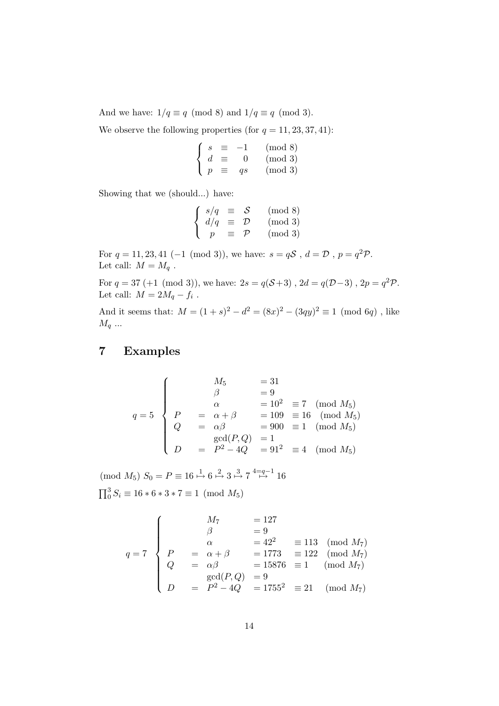And we have:  $1/q \equiv q \pmod{8}$  and  $1/q \equiv q \pmod{3}$ .

We observe the following properties (for  $q = 11, 23, 37, 41$ ):

$$
\begin{cases}\ns \equiv -1 \quad \text{(mod 8)} \\
d \equiv 0 \quad \text{(mod 3)} \\
p \equiv qs \quad \text{(mod 3)}\n\end{cases}
$$

Showing that we (should...) have:

$$
\begin{cases}\ns/q \equiv \mathcal{S} \pmod{8} \\
d/q \equiv \mathcal{D} \pmod{3} \\
p \equiv \mathcal{P} \pmod{3}\n\end{cases}
$$

For  $q = 11, 23, 41 \ (-1 \ (\text{mod } 3))$ , we have:  $s = qS$ ,  $d = D$ ,  $p = q^2P$ . Let call:  $M = M_q$ .

For  $q = 37 (+1 \pmod{3})$ , we have:  $2s = q(\mathcal{S}+3)$ ,  $2d = q(\mathcal{D}-3)$ ,  $2p = q^2 \mathcal{P}$ . Let call:  $M = 2M_q - f_i$ .

And it seems that:  $M = (1 + s)^2 - d^2 = (8x)^2 - (3qy)^2 \equiv 1 \pmod{6q}$ , like  $M_q \dots$ 

## 7 Examples

$$
q = 5 \begin{cases} \n & M_5 = 31 \\ \n & \beta = 9 \\ \n & \alpha = 10^2 = 7 \pmod{M_5} \\ \n & \beta = 109 = 16 \pmod{M_5} \\ \n & \beta = 900 = 1 \pmod{M_5} \\ \n & \gcd(P,Q) = 1 \\ \n & \beta = P^2 - 4Q = 91^2 = 4 \pmod{M_5} \n\end{cases}
$$

 $\pmod{M_5}$   $S_0 = P \equiv 16 \stackrel{1}{\mapsto} 6 \stackrel{2}{\mapsto} 3 \stackrel{3}{\mapsto} 7 \stackrel{4=q-1}{\mapsto} 16$  $\overline{17}3$ 

 $0^3 S_i \equiv 16 * 6 * 3 * 7 \equiv 1 \pmod{M_5}$ 

$$
q = 7
$$
\n
$$
\begin{cases}\nM_7 = 127 \\
\beta = 9 \\
\alpha = 42^2 = 113 \pmod{M_7} \\
Q = \alpha \beta = 15876 \equiv 1 \pmod{M_7} \\
\gcd(P, Q) = 9 \\
D = P^2 - 4Q = 1755^2 \equiv 21 \pmod{M_7}\n\end{cases}
$$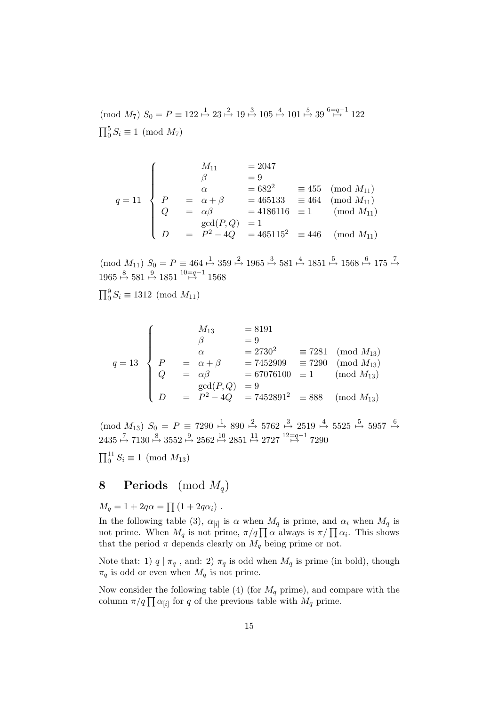$p \mod{M_7}$   $S_0 = P \equiv 122 \stackrel{1}{\mapsto} 23 \stackrel{2}{\mapsto} 19 \stackrel{3}{\mapsto} 105 \stackrel{4}{\mapsto} 101 \stackrel{5}{\mapsto} 39 \stackrel{6=q-1}{\mapsto} 122$  $\overline{17}^5$  $0^{\circ} S_i \equiv 1 \pmod{M_7}$ 

$$
q = 11 \begin{cases} \nM_{11} &= 2047 \\ \n\beta &= 9 \\ \n\alpha &= 682^2 \\ \nQ &= \alpha + \beta \\ \nQ &= \alpha\beta \\ \nD &= P^2 - 4Q \\ \n\end{cases} = 465133 \begin{cases} \n\text{mod } M_{11} \\
\text{mod } M_{11} \\
\text{mod } M_{11} \\
\text{mod } M_{11} \\
\text{mod } M_{11} \\
\text{mod } M_{11} \\
\text{mod } M_{11} \\
\end{cases}
$$

 $p \pmod{M_{11}}$   $S_0 = P \equiv 464 \stackrel{1}{\mapsto} 359 \stackrel{2}{\mapsto} 1965 \stackrel{3}{\mapsto} 581 \stackrel{4}{\mapsto} 1851 \stackrel{5}{\mapsto} 1568 \stackrel{6}{\mapsto} 175 \stackrel{7}{\mapsto}$ 1965  $\stackrel{8}{\mapsto}$  581  $\stackrel{9}{\mapsto}$  1851  $\stackrel{10=q-1}{\mapsto}$  1568

 $\overline{17}9$  $0^9 S_i \equiv 1312 \pmod{M_{11}}$ 

$$
q = 13
$$
\n
$$
\begin{cases}\nM_{13} = 8191 \\
\beta = 9 \\
\alpha = 2730^2 = 7281 \pmod{M_{13}} \\
Q = \alpha \beta = 67076100 \equiv 1 \pmod{M_{13}} \\
D = P^2 - 4Q = 7452891^2 \equiv 888 \pmod{M_{13}}\n\end{cases}
$$
\n(mod  $M_{13}$ )\n
$$
p = P^2 - 4Q = 7452891^2 \equiv 888 \pmod{M_{13}}
$$

 $p(mod M_{13})$   $S_0 = P \equiv 7290 \stackrel{1}{\mapsto} 890 \stackrel{2}{\mapsto} 5762 \stackrel{3}{\mapsto} 2519 \stackrel{4}{\mapsto} 5525 \stackrel{5}{\mapsto} 5957 \stackrel{6}{\mapsto}$  $2435 \stackrel{7}{\mapsto} 7130 \stackrel{8}{\mapsto} 3552 \stackrel{9}{\mapsto} 2562 \stackrel{10}{\mapsto} 2851 \stackrel{11}{\mapsto} 2727 \stackrel{12=a-1}{\mapsto} 7290$ 

 $\overline{11}$  $_{0}^{11} S_{i} \equiv 1 \pmod{M_{13}}$ 

# 8 Periods (mod  $M_q$ )

 $M_q = 1 + 2q\alpha =$  $\overline{a}$  $(1+2q\alpha_i)$ .

In the following table (3),  $\alpha_{[i]}$  is  $\alpha$  when  $M_q$  is prime, and  $\alpha_i$  when  $M_q$  is in the following table (3),  $\alpha_{[i]}$  is  $\alpha$  when  $M_q$  is prime, and  $\alpha_i$  when  $M_q$  is not prime,  $\pi/q \prod \alpha$  always is  $\pi/\prod \alpha_i$ . This shows that the period  $\pi$  depends clearly on  $M_q$  being prime or not.

Note that: 1)  $q | \pi_q$ , and: 2)  $\pi_q$  is odd when  $M_q$  is prime (in bold), though  $\pi_q$  is odd or even when  $M_q$  is not prime.

Now consider the following table (4) (for  $M_q$  prime), and compare with the Frow consider the following table (4) (for  $M_q$  prime), and concolumn  $\pi/q \prod_{i} \alpha_{[i]}$  for q of the previous table with  $M_q$  prime.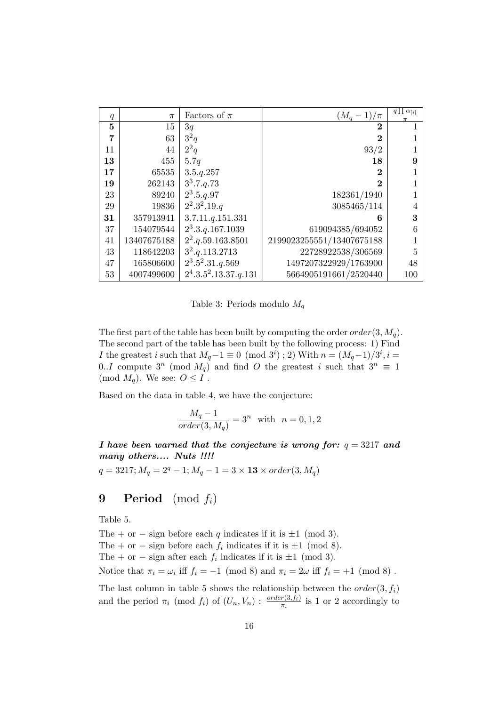| q  | $\pi$       | Factors of $\pi$                   | $(M_q-1)/\pi$             | $q\prod \alpha_{[i]}$ |
|----|-------------|------------------------------------|---------------------------|-----------------------|
| 5  | 15          | 3q                                 | $\bf{2}$                  |                       |
| 7  | 63          | $3^2q$                             | $\bf{2}$                  |                       |
| 11 | 44          | $2^2q$                             | 93/2                      |                       |
| 13 | 455         | 5.7q                               | 18                        | 9                     |
| 17 | 65535       | 3.5. q. 257                        | $\bf{2}$                  |                       |
| 19 | 262143      | $3^3.7.9.73$                       | $\bf{2}$                  |                       |
| 23 | 89240       | $2^3.5.9.97$                       | 182361/1940               |                       |
| 29 | 19836       | $2^2.3^2.19.q$                     | 3085465/114               |                       |
| 31 | 357913941   | 3.7.11. q.151.331                  | 6                         | 3                     |
| 37 | 154079544   | $2^3.3.q.167.1039$                 | 619094385/694052          | 6                     |
| 41 | 13407675188 | $2^2. q. 59. 163. 8501$            | 2199023255551/13407675188 |                       |
| 43 | 118642203   | $3^2 \cdot q \cdot 113 \cdot 2713$ | 22728922538/306569        | 5                     |
| 47 | 165806600   | $2^3.5^2.31.4.569$                 | 1497207322929/1763900     | 48                    |
| 53 | 4007499600  | $2^4.3.5^2.13.37.9.131$            | 5664905191661/2520440     | 100                   |

Table 3: Periods modulo  $M_q$ 

The first part of the table has been built by computing the order  $order(3, M_q)$ . The second part of the table has been built by the following process: 1) Find I the greatest i such that  $M_q - 1 \equiv 0 \pmod{3^i}$ ; 2) With  $n = (M_q - 1)/3^i$ , i = 0..*I* compute  $3^n \pmod{M_q}$  and find O the greatest i such that  $3^n \equiv 1$ (mod  $M_q$ ). We see:  $O \leq I$ .

Based on the data in table 4, we have the conjecture:

$$
\frac{M_q - 1}{order(3, M_q)} = 3^n
$$
 with  $n = 0, 1, 2$ 

I have been warned that the conjecture is wrong for:  $q = 3217$  and many others.... Nuts !!!!

 $q = 3217; M_q = 2^q - 1; M_q - 1 = 3 \times 13 \times order(3, M_q)$ 

## **9** Period (mod  $f_i$ )

Table 5.

The + or − sign before each q indicates if it is  $\pm 1 \pmod{3}$ .

The + or – sign before each  $f_i$  indicates if it is  $\pm 1 \pmod{8}$ .

The + or – sign after each  $f_i$  indicates if it is  $\pm 1 \pmod{3}$ .

Notice that  $\pi_i = \omega_i$  iff  $f_i = -1 \pmod{8}$  and  $\pi_i = 2\omega$  iff  $f_i = +1 \pmod{8}$ .

The last column in table 5 shows the relationship between the  $order(3, f_i)$ and the period  $\pi_i \pmod{f_i}$  of  $(U_n, V_n)$ :  $\frac{order(3, f_i)}{\pi_i}$  is 1 or 2 accordingly to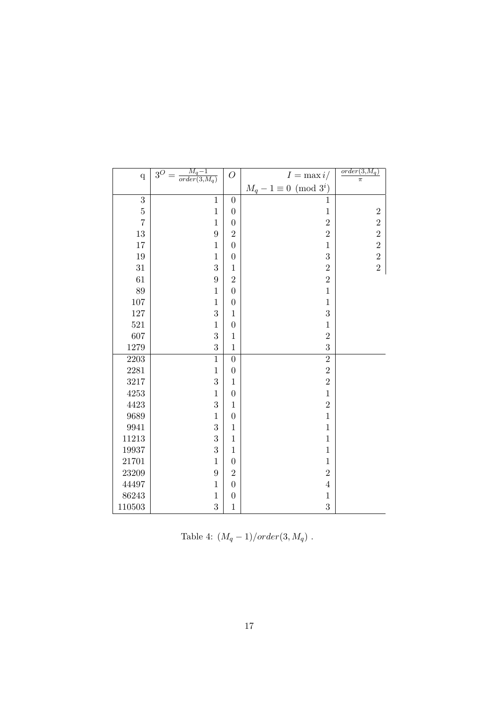| $\mathbf q$    | $\frac{M_q-1}{order(3,M_q)}$<br>$3^{\overline{O}}$ | $\overline{O}$   | $I = \max i$                  | $order(3, M_q)$<br>$\pi$ |
|----------------|----------------------------------------------------|------------------|-------------------------------|--------------------------|
|                |                                                    |                  | $M_q - 1 \equiv 0 \pmod{3^i}$ |                          |
| $\overline{3}$ | $\overline{1}$                                     | $\overline{0}$   | $\mathbf{1}$                  |                          |
| $\bf 5$        | $\,1$                                              | $\boldsymbol{0}$ | $\mathbf 1$                   | $\overline{2}$           |
| $\overline{7}$ | $\mathbf{1}$                                       | $\boldsymbol{0}$ | $\overline{2}$                | $\overline{2}$           |
| 13             | $\overline{9}$                                     | $\overline{2}$   | $\overline{2}$                | $\overline{2}$           |
| 17             | $\mathbf 1$                                        | $\boldsymbol{0}$ | $\mathbf{1}$                  | $\overline{2}$           |
| 19             | $\,1$                                              | $\boldsymbol{0}$ | 3                             | $\overline{2}$           |
| 31             | 3                                                  | $\,1$            | $\overline{2}$                | $\overline{2}$           |
| 61             | 9                                                  | $\overline{2}$   | $\overline{2}$                |                          |
| 89             | $\mathbf 1$                                        | $\boldsymbol{0}$ | $\mathbf{1}$                  |                          |
| $107\,$        | $\mathbf{1}$                                       | $\boldsymbol{0}$ | $\mathbf{1}$                  |                          |
| $127\,$        | 3                                                  | $\mathbf{1}$     | 3                             |                          |
| 521            | $\mathbf{1}$                                       | $\boldsymbol{0}$ | $\mathbf{1}$                  |                          |
| 607            | 3                                                  | $\mathbf{1}$     | $\overline{2}$                |                          |
| 1279           | 3                                                  | $\mathbf{1}$     | 3                             |                          |
| 2203           | $\mathbf{1}$                                       | $\boldsymbol{0}$ | $\overline{2}$                |                          |
| 2281           | $\mathbf{1}$                                       | $\boldsymbol{0}$ | $\overline{2}$                |                          |
| 3217           | 3                                                  | $\mathbf{1}$     | $\overline{2}$                |                          |
| $4253\,$       | $\mathbf{1}$                                       | $\boldsymbol{0}$ | $\mathbf 1$                   |                          |
| 4423           | 3                                                  | $\,1$            | $\overline{2}$                |                          |
| 9689           | $\mathbf{1}$                                       | $\overline{0}$   | $\overline{1}$                |                          |
| 9941           | 3                                                  | $\mathbf{1}$     | $\mathbf{1}$                  |                          |
| $11213\,$      | 3                                                  | $\,1$            | $\mathbf 1$                   |                          |
| 19937          | 3                                                  | $\mathbf{1}$     | $\mathbf{1}$                  |                          |
| 21701          | $\mathbf{1}$                                       | $\boldsymbol{0}$ | $\mathbf{1}$                  |                          |
| 23209          | 9                                                  | $\overline{2}$   | $\overline{2}$                |                          |
| 44497          | $\,1$                                              | $\boldsymbol{0}$ | $\sqrt{4}$                    |                          |
| 86243          | $\mathbf{1}$                                       | $\boldsymbol{0}$ | $\mathbf 1$                   |                          |
| 110503         | 3                                                  | $\mathbf{1}$     | 3                             |                          |

Table 4:  $(M_q - 1)/order(3, M_q)$ .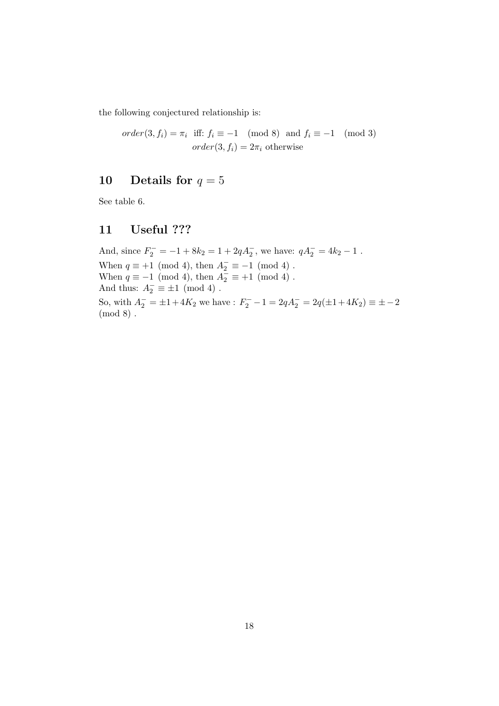the following conjectured relationship is:

$$
order(3, f_i) = \pi_i \quad \text{iff: } f_i \equiv -1 \pmod{8} \quad \text{and } f_i \equiv -1 \pmod{3}
$$
\n
$$
order(3, f_i) = 2\pi_i \quad \text{otherwise}
$$

# 10 Details for  $q = 5$

See table 6.

# 11 Useful ???

And, since  $F_2^- = -1 + 8k_2 = 1 + 2qA_2^-$ , we have:  $qA_2^- = 4k_2 - 1$ . When  $q \equiv +1 \pmod{4}$ , then  $A_2^- \equiv -1 \pmod{4}$ . When  $q \equiv -1 \pmod{4}$ , then  $A_2^{\dagger} \equiv +1 \pmod{4}$ . And thus:  $A_2^- \equiv \pm 1 \pmod{4}$ . So, with  $A_2^- = \pm 1 + 4K_2$  we have :  $F_2^- - 1 = 2qA_2^- = 2q(\pm 1 + 4K_2) \equiv \pm -2$ (mod 8) .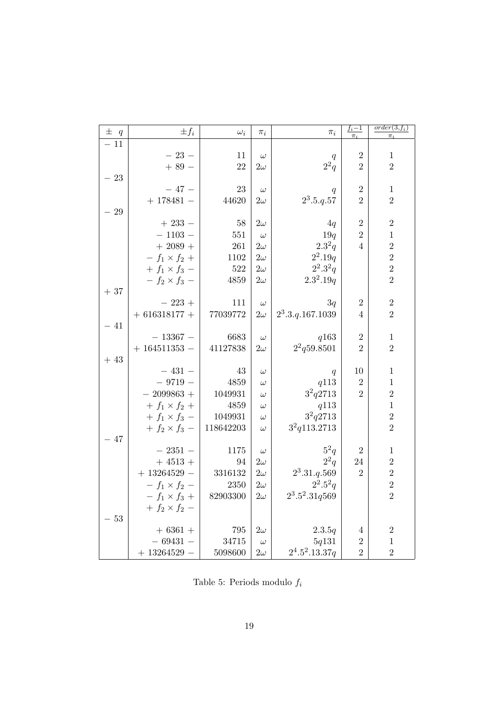| $\pm$ q | $\pm f_i$            | $\omega_i$ | $\pi_i$   | $\pi_i$            | $\underline{f_i-1}$ | $order(3, f_i)$ |
|---------|----------------------|------------|-----------|--------------------|---------------------|-----------------|
| $-11$   |                      |            |           |                    | $\pi_i$             | $\pi_i$         |
|         | $-23-$               | 11         | $\omega$  |                    | $\overline{2}$      | $\mathbf{1}$    |
|         | $+89-$               | $22\,$     | $2\omega$ | q<br>$2^2q$        | $\overline{2}$      | $\overline{2}$  |
| $-23$   |                      |            |           |                    |                     |                 |
|         | $-47-$               | 23         | $\omega$  |                    | $\overline{2}$      | $\mathbf{1}$    |
|         | $+ 178481 -$         | 44620      | $2\omega$ | q<br>$2^3.5.q.57$  | $\overline{2}$      | $\overline{2}$  |
| $-29$   |                      |            |           |                    |                     |                 |
|         | $+233-$              | 58         | $2\omega$ | 4q                 | $\overline{2}$      | $\overline{2}$  |
|         | $-1103-$             | $551\,$    | $\omega$  | 19q                | $\overline{2}$      | $\,1\,$         |
|         | $+2089+$             | 261        | $2\omega$ | $2.3^{2}q$         | $\overline{4}$      | $\overline{2}$  |
|         | $- f_1 \times f_2 +$ | 1102       | $2\omega$ | $2^2.19q$          |                     | $\overline{2}$  |
|         | $+ f_1 \times f_3 -$ | 522        | $2\omega$ | $2^2.3^2q$         |                     | $\overline{2}$  |
|         | $- f_2 \times f_3 -$ | 4859       | $2\omega$ | $2.3^2.19q$        |                     | $\overline{2}$  |
| $+37$   |                      |            |           |                    |                     |                 |
|         | $-223 +$             | 111        | $\omega$  | 3q                 | $\overline{2}$      | $\sqrt{2}$      |
|         | $+ 616318177 +$      | 77039772   | $2\omega$ | $2^3.3.q.167.1039$ | 4                   | $\overline{2}$  |
| $-41$   |                      |            |           |                    |                     |                 |
|         | $-13367-$            | 6683       | $\omega$  | q163               | $\boldsymbol{2}$    | $\mathbf{1}$    |
|         | $+164511353 -$       | 41127838   | $2\omega$ | $2^2$ q59.8501     | $\overline{2}$      | $\overline{2}$  |
| $+43$   |                      |            |           |                    |                     |                 |
|         | $-431-$              | 43         | $\omega$  | q                  | 10                  | $\,1$           |
|         | $-9719-$             | 4859       | $\omega$  | q113               | $\overline{2}$      | $\mathbf{1}$    |
|         | $-2099863+$          | 1049931    | $\omega$  | $3^2q2713$         | $\overline{2}$      | $\overline{2}$  |
|         | $+ f_1 \times f_2 +$ | 4859       | $\omega$  | q113               |                     | $\,1\,$         |
|         | $+ f_1 \times f_3 -$ | 1049931    | $\omega$  | $3^2q2713\,$       |                     | $\overline{2}$  |
|         | $+ f_2 \times f_3 -$ | 118642203  | $\omega$  | $3^2q113.2713$     |                     | $\overline{2}$  |
| $-47$   |                      |            |           |                    |                     |                 |
|         | $-2351-$             | 1175       | $\omega$  | $5^2q$             | $\overline{2}$      | $\,1$           |
|         | $+4513 +$            | 94         | $2\omega$ | $2^2q$             | $24\,$              | $\overline{2}$  |
|         | $+13264529-$         | 3316132    | $2\omega$ | $2^3.31.q.569$     | $\overline{2}$      | $\overline{2}$  |
|         | $- f_1 \times f_2 -$ | 2350       | $2\omega$ | $2^2.5^2q$         |                     | $\overline{2}$  |
|         | $- f_1 \times f_3 +$ | 82903300   | $2\omega$ | $2^3.5^2.31q569$   |                     | $\overline{2}$  |
|         | $+ f_2 \times f_2 -$ |            |           |                    |                     |                 |
| $-53$   |                      |            |           |                    |                     |                 |
|         | $+6361 +$            | 795        | $2\omega$ | 2.3.5q             | 4                   | $\sqrt{2}$      |
|         | $-69431-$            | 34715      | $\omega$  | 5q131              | $\overline{2}$      | $\mathbf{1}$    |
|         | $+13264529-$         | 5098600    | $2\omega$ | $2^4.5^2.13.37q$   | $\overline{2}$      | $\overline{2}$  |

Table 5: Periods modulo  $f_{\boldsymbol{i}}$